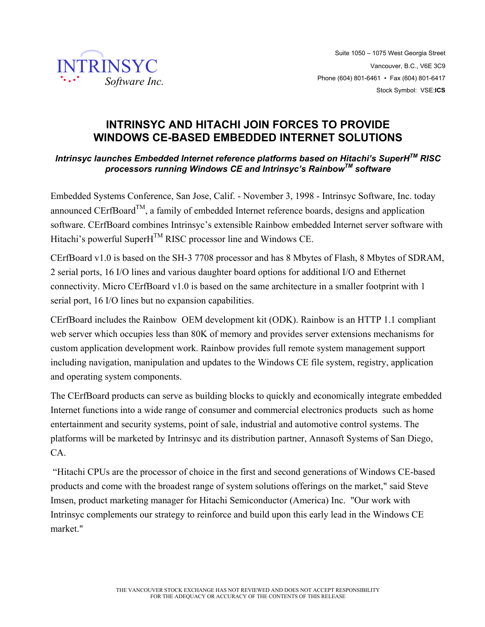

## **INTRINSYC AND HITACHI JOIN FORCES TO PROVIDE WINDOWS CE-BASED EMBEDDED INTERNET SOLUTIONS**

## *Intrinsyc launches Embedded Internet reference platforms based on Hitachi's SuperHTM RISC processors running Windows CE and Intrinsyc's RainbowTM software*

Embedded Systems Conference, San Jose, Calif. - November 3, 1998 - Intrinsyc Software, Inc. today announced CErfBoard<sup>TM</sup>, a family of embedded Internet reference boards, designs and application software. CErfBoard combines Intrinsyc's extensible Rainbow embedded Internet server software with Hitachi's powerful Super $H^{TM}$  RISC processor line and Windows CE.

CErfBoard v1.0 is based on the SH-3 7708 processor and has 8 Mbytes of Flash, 8 Mbytes of SDRAM, 2 serial ports, 16 I/O lines and various daughter board options for additional I/O and Ethernet connectivity. Micro CErfBoard v1.0 is based on the same architecture in a smaller footprint with 1 serial port, 16 I/O lines but no expansion capabilities.

CErfBoard includes the Rainbow OEM development kit (ODK). Rainbow is an HTTP 1.1 compliant web server which occupies less than 80K of memory and provides server extensions mechanisms for custom application development work. Rainbow provides full remote system management support including navigation, manipulation and updates to the Windows CE file system, registry, application and operating system components.

The CErfBoard products can serve as building blocks to quickly and economically integrate embedded Internet functions into a wide range of consumer and commercial electronics products such as home entertainment and security systems, point of sale, industrial and automotive control systems. The platforms will be marketed by Intrinsyc and its distribution partner, Annasoft Systems of San Diego, CA.

 "Hitachi CPUs are the processor of choice in the first and second generations of Windows CE-based products and come with the broadest range of system solutions offerings on the market," said Steve Imsen, product marketing manager for Hitachi Semiconductor (America) Inc. "Our work with Intrinsyc complements our strategy to reinforce and build upon this early lead in the Windows CE market."